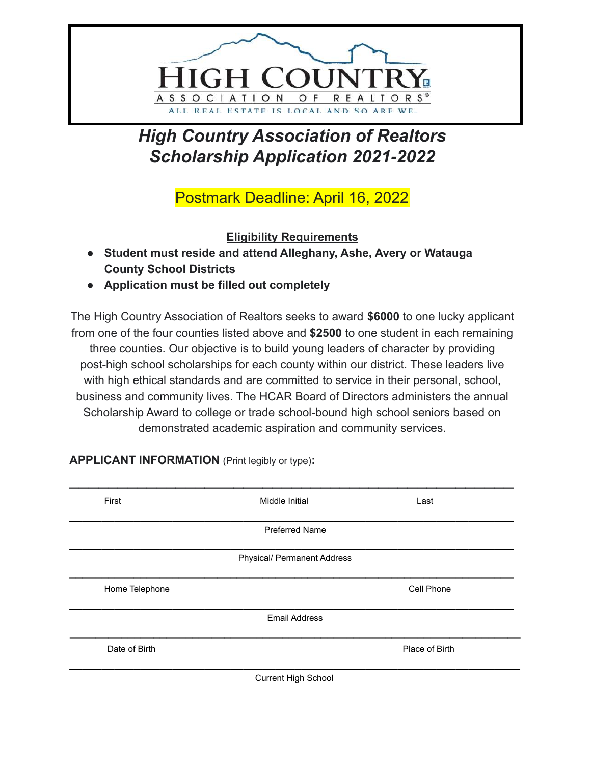

## *High Country Association of Realtors Scholarship Application 2021-2022*

Postmark Deadline: April 16, 2022

**Eligibility Requirements**

- **Student must reside and attend Alleghany, Ashe, Avery or Watauga County School Districts**
- **Application must be filled out completely**

The High Country Association of Realtors seeks to award **\$6000** to one lucky applicant from one of the four counties listed above and **\$2500** to one student in each remaining three counties. Our objective is to build young leaders of character by providing post-high school scholarships for each county within our district. These leaders live with high ethical standards and are committed to service in their personal, school, business and community lives. The HCAR Board of Directors administers the annual Scholarship Award to college or trade school-bound high school seniors based on demonstrated academic aspiration and community services.

| First          | Middle Initial                     | Last           |
|----------------|------------------------------------|----------------|
|                | <b>Preferred Name</b>              |                |
|                | <b>Physical/ Permanent Address</b> |                |
| Home Telephone |                                    | Cell Phone     |
|                | <b>Email Address</b>               |                |
| Date of Birth  |                                    | Place of Birth |
|                | Current High School                |                |

**APPLICANT INFORMATION** (Print legibly or type)**:**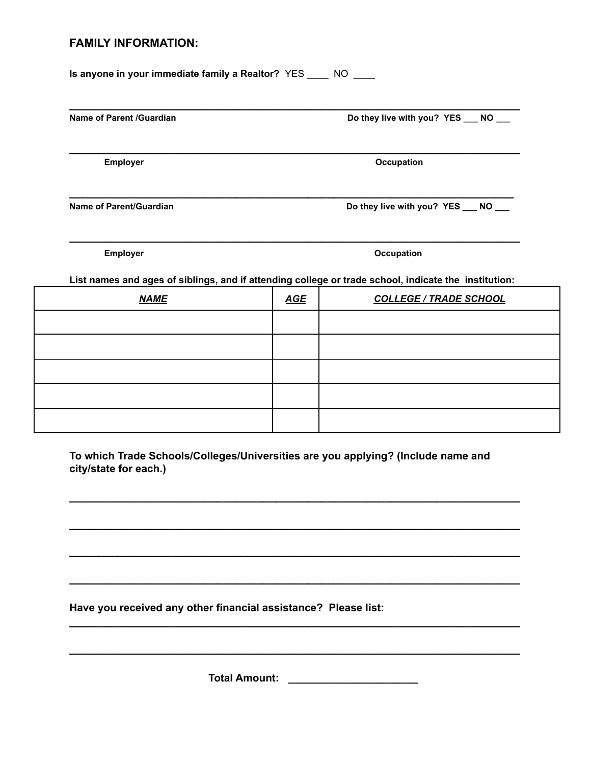## **FAMILY INFORMATION:**

**Is anyone in your immediate family a Realtor?** YES \_\_\_\_ NO \_\_\_\_

Name of Parent /Guardian **Do they live with you? YES \_\_\_ NO** 

**Employer** Communication Communication Communication Communication Communication Communication Communication Communication Communication Communication Communication Communication Communication Communication Communication C

Name of Parent/Guardian **Do they live with you? YES \_\_\_ NO** 

**Employer** Communication Communication Communication Communication Communication Communication Communication Communication Communication Communication Communication Communication Communication Communication Communication C

**List names and ages of siblings, and if attending college or trade school, indicate the institution:**

**\_\_\_\_\_\_\_\_\_\_\_\_\_\_\_\_\_\_\_\_\_\_\_\_\_\_\_\_\_\_\_\_\_\_\_\_\_\_\_\_\_\_\_\_\_\_\_\_\_\_\_\_\_\_\_\_\_\_\_\_\_\_\_\_\_\_\_\_\_\_**

**\_\_\_\_\_\_\_\_\_\_\_\_\_\_\_\_\_\_\_\_\_\_\_\_\_\_\_\_\_\_\_\_\_\_\_\_\_\_\_\_\_\_\_\_\_\_\_\_\_\_\_\_\_\_\_\_\_\_\_\_\_\_\_\_\_\_\_\_\_\_**

**\_\_\_\_\_\_\_\_\_\_\_\_\_\_\_\_\_\_\_\_\_\_\_\_\_\_\_\_\_\_\_\_\_\_\_\_\_\_\_\_\_\_\_\_\_\_\_\_\_\_\_\_\_\_\_\_\_\_\_\_\_\_\_\_\_\_\_\_\_\_**

**\_\_\_\_\_\_\_\_\_\_\_\_\_\_\_\_\_\_\_\_\_\_\_\_\_\_\_\_\_\_\_\_\_\_\_\_\_\_\_\_\_\_\_\_\_\_\_\_\_\_\_\_\_\_\_\_\_\_\_\_\_\_\_\_\_\_\_\_\_**

| <b>NAME</b> | <b>AGE</b> | <b>COLLEGE / TRADE SCHOOL</b> |
|-------------|------------|-------------------------------|
|             |            |                               |
|             |            |                               |
|             |            |                               |
|             |            |                               |
|             |            |                               |

**To which Trade Schools/Colleges/Universities are you applying? (Include name and city/state for each.)**

**\_\_\_\_\_\_\_\_\_\_\_\_\_\_\_\_\_\_\_\_\_\_\_\_\_\_\_\_\_\_\_\_\_\_\_\_\_\_\_\_\_\_\_\_\_\_\_\_\_\_\_\_\_\_\_\_\_\_\_\_\_\_\_\_\_\_\_\_\_\_**

**\_\_\_\_\_\_\_\_\_\_\_\_\_\_\_\_\_\_\_\_\_\_\_\_\_\_\_\_\_\_\_\_\_\_\_\_\_\_\_\_\_\_\_\_\_\_\_\_\_\_\_\_\_\_\_\_\_\_\_\_\_\_\_\_\_\_\_\_\_\_**

**\_\_\_\_\_\_\_\_\_\_\_\_\_\_\_\_\_\_\_\_\_\_\_\_\_\_\_\_\_\_\_\_\_\_\_\_\_\_\_\_\_\_\_\_\_\_\_\_\_\_\_\_\_\_\_\_\_\_\_\_\_\_\_\_\_\_\_\_\_\_**

**\_\_\_\_\_\_\_\_\_\_\_\_\_\_\_\_\_\_\_\_\_\_\_\_\_\_\_\_\_\_\_\_\_\_\_\_\_\_\_\_\_\_\_\_\_\_\_\_\_\_\_\_\_\_\_\_\_\_\_\_\_\_\_\_\_\_\_\_\_\_**

**\_\_\_\_\_\_\_\_\_\_\_\_\_\_\_\_\_\_\_\_\_\_\_\_\_\_\_\_\_\_\_\_\_\_\_\_\_\_\_\_\_\_\_\_\_\_\_\_\_\_\_\_\_\_\_\_\_\_\_\_\_\_\_\_\_\_\_\_\_\_**

**\_\_\_\_\_\_\_\_\_\_\_\_\_\_\_\_\_\_\_\_\_\_\_\_\_\_\_\_\_\_\_\_\_\_\_\_\_\_\_\_\_\_\_\_\_\_\_\_\_\_\_\_\_\_\_\_\_\_\_\_\_\_\_\_\_\_\_\_\_\_**

**Have you received any other financial assistance? Please list:**

**Total Amount: \_\_\_\_\_\_\_\_\_\_\_\_\_\_\_\_\_\_\_\_\_\_**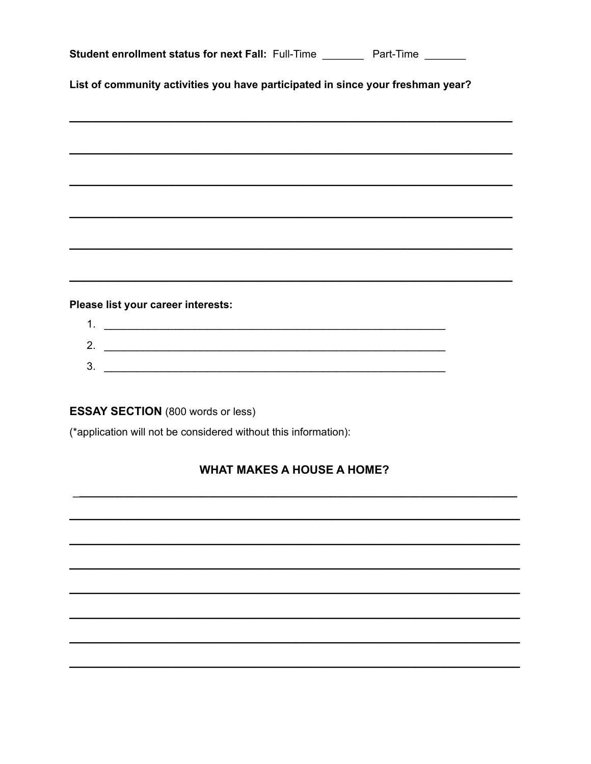| Student enrollment status for next Fall: Full-Time _________ Part-Time _______  |  |  |  |  |
|---------------------------------------------------------------------------------|--|--|--|--|
| List of community activities you have participated in since your freshman year? |  |  |  |  |
|                                                                                 |  |  |  |  |
|                                                                                 |  |  |  |  |
|                                                                                 |  |  |  |  |
|                                                                                 |  |  |  |  |
|                                                                                 |  |  |  |  |
|                                                                                 |  |  |  |  |
|                                                                                 |  |  |  |  |
|                                                                                 |  |  |  |  |
| Please list your career interests:                                              |  |  |  |  |
|                                                                                 |  |  |  |  |
| 2. $\overline{\phantom{a}}$                                                     |  |  |  |  |
|                                                                                 |  |  |  |  |
|                                                                                 |  |  |  |  |
| <b>ESSAY SECTION (800 words or less)</b>                                        |  |  |  |  |
| (*application will not be considered without this information):                 |  |  |  |  |
| <b>WHAT MAKES A HOUSE A HOME?</b>                                               |  |  |  |  |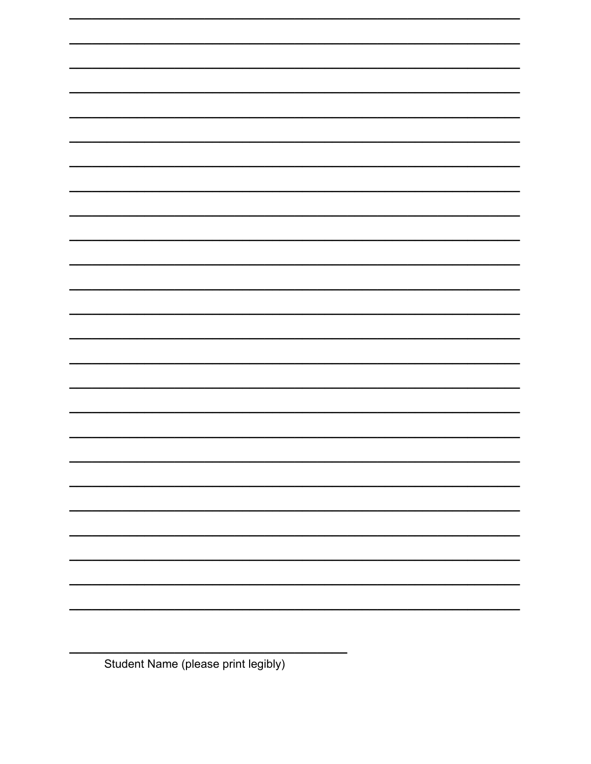

Student Name (please print legibly)